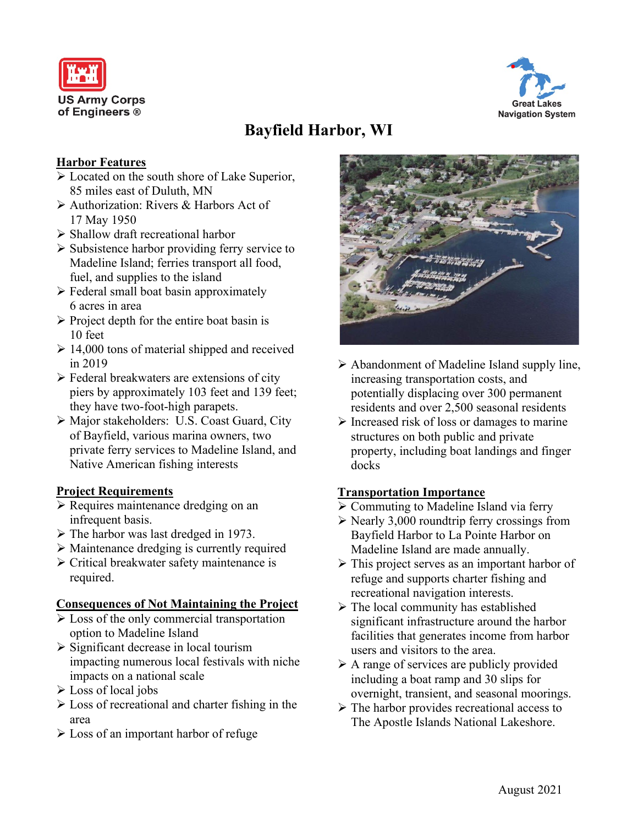



# **Bayfield Harbor, WI**

## **Harbor Features**

- Located on the south shore of Lake Superior, 85 miles east of Duluth, MN
- Authorization: Rivers & Harbors Act of 17 May 1950
- Shallow draft recreational harbor
- $\triangleright$  Subsistence harbor providing ferry service to Madeline Island; ferries transport all food, fuel, and supplies to the island
- $\triangleright$  Federal small boat basin approximately 6 acres in area
- $\triangleright$  Project depth for the entire boat basin is 10 feet
- $\geq 14,000$  tons of material shipped and received in 2019
- Federal breakwaters are extensions of city piers by approximately 103 feet and 139 feet; they have two-foot-high parapets.
- Major stakeholders: U.S. Coast Guard, City of Bayfield, various marina owners, two private ferry services to Madeline Island, and Native American fishing interests

#### **Project Requirements**

- $\triangleright$  Requires maintenance dredging on an infrequent basis.
- $\triangleright$  The harbor was last dredged in 1973.
- Maintenance dredging is currently required
- Critical breakwater safety maintenance is required.

#### **Consequences of Not Maintaining the Project**

- $\triangleright$  Loss of the only commercial transportation option to Madeline Island
- $\triangleright$  Significant decrease in local tourism impacting numerous local festivals with niche impacts on a national scale
- $\triangleright$  Loss of local jobs
- $\triangleright$  Loss of recreational and charter fishing in the area
- $\triangleright$  Loss of an important harbor of refuge



- $\triangleright$  Abandonment of Madeline Island supply line, increasing transportation costs, and potentially displacing over 300 permanent residents and over 2,500 seasonal residents
- $\triangleright$  Increased risk of loss or damages to marine structures on both public and private property, including boat landings and finger docks

# **Transportation Importance**

- Commuting to Madeline Island via ferry
- $\triangleright$  Nearly 3,000 roundtrip ferry crossings from Bayfield Harbor to La Pointe Harbor on Madeline Island are made annually.
- $\triangleright$  This project serves as an important harbor of refuge and supports charter fishing and recreational navigation interests.
- $\triangleright$  The local community has established significant infrastructure around the harbor facilities that generates income from harbor users and visitors to the area.
- $\triangleright$  A range of services are publicly provided including a boat ramp and 30 slips for overnight, transient, and seasonal moorings.
- $\triangleright$  The harbor provides recreational access to The Apostle Islands National Lakeshore.